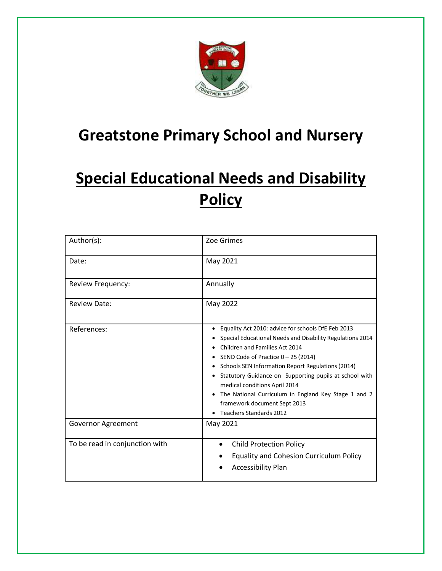

## **Greatstone Primary School and Nursery**

# **Special Educational Needs and Disability Policy**

| Author(s):                     | Zoe Grimes                                                                                                                                                                                                                                                                                                                                                                                                                                                    |
|--------------------------------|---------------------------------------------------------------------------------------------------------------------------------------------------------------------------------------------------------------------------------------------------------------------------------------------------------------------------------------------------------------------------------------------------------------------------------------------------------------|
| Date:                          | May 2021                                                                                                                                                                                                                                                                                                                                                                                                                                                      |
| Review Frequency:              | Annually                                                                                                                                                                                                                                                                                                                                                                                                                                                      |
| <b>Review Date:</b>            | May 2022                                                                                                                                                                                                                                                                                                                                                                                                                                                      |
| References:                    | Equality Act 2010: advice for schools DfE Feb 2013<br>Special Educational Needs and Disability Regulations 2014<br>Children and Families Act 2014<br>SEND Code of Practice $0 - 25$ (2014)<br>Schools SEN Information Report Regulations (2014)<br>Statutory Guidance on Supporting pupils at school with<br>medical conditions April 2014<br>The National Curriculum in England Key Stage 1 and 2<br>framework document Sept 2013<br>Teachers Standards 2012 |
| Governor Agreement             | May 2021                                                                                                                                                                                                                                                                                                                                                                                                                                                      |
| To be read in conjunction with | <b>Child Protection Policy</b><br>$\bullet$<br><b>Equality and Cohesion Curriculum Policy</b><br><b>Accessibility Plan</b>                                                                                                                                                                                                                                                                                                                                    |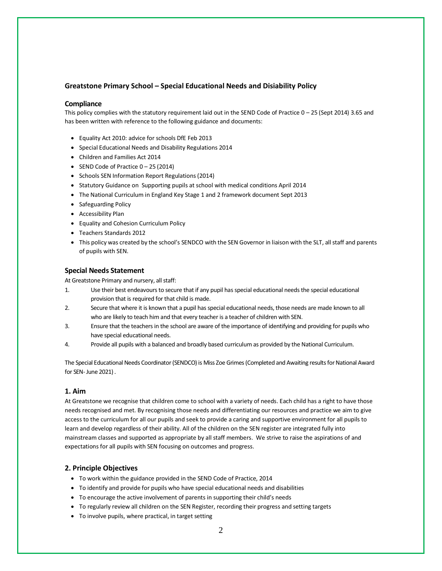## **Greatstone Primary School – Special Educational Needs and Disiability Policy**

### **Compliance**

This policy complies with the statutory requirement laid out in the SEND Code of Practice 0 – 25 (Sept 2014) 3.65 and has been written with reference to the following guidance and documents:

- Equality Act 2010: advice for schools DfE Feb 2013
- Special Educational Needs and Disability Regulations 2014
- Children and Families Act 2014
- SEND Code of Practice  $0 25(2014)$
- Schools SEN Information Report Regulations (2014)
- Statutory Guidance on Supporting pupils at school with medical conditions April 2014
- The National Curriculum in England Key Stage 1 and 2 framework document Sept 2013
- Safeguarding Policy
- Accessibility Plan
- Equality and Cohesion Curriculum Policy
- Teachers Standards 2012
- This policy was created by the school's SENDCO with the SEN Governor in liaison with the SLT, all staff and parents of pupils with SEN.

#### **Special Needs Statement**

At Greatstone Primary and nursery, all staff:

- 1. Use their best endeavours to secure that if any pupil has special educational needs the special educational provision that is required for that child is made.
- 2. Secure that where it is known that a pupil has special educational needs, those needs are made known to all who are likely to teach him and that every teacher is a teacher of children with SEN.
- 3. Ensure that the teachers in the school are aware of the importance of identifying and providing for pupils who have special educational needs.
- 4. Provide all pupils with a balanced and broadly based curriculum as provided by the National Curriculum.

The Special Educational Needs Coordinator (SENDCO) is Miss Zoe Grimes (Completed and Awaiting results for National Award for SEN- June 2021) .

#### **1. Aim**

At Greatstone we recognise that children come to school with a variety of needs. Each child has a right to have those needs recognised and met. By recognising those needs and differentiating our resources and practice we aim to give access to the curriculum for all our pupils and seek to provide a caring and supportive environment for all pupils to learn and develop regardless of their ability. All of the children on the SEN register are integrated fully into mainstream classes and supported as appropriate by all staff members. We strive to raise the aspirations of and expectations for all pupils with SEN focusing on outcomes and progress.

## **2. Principle Objectives**

- To work within the guidance provided in the SEND Code of Practice, 2014
- To identify and provide for pupils who have special educational needs and disabilities
- To encourage the active involvement of parents in supporting their child's needs
- To regularly review all children on the SEN Register, recording their progress and setting targets
- To involve pupils, where practical, in target setting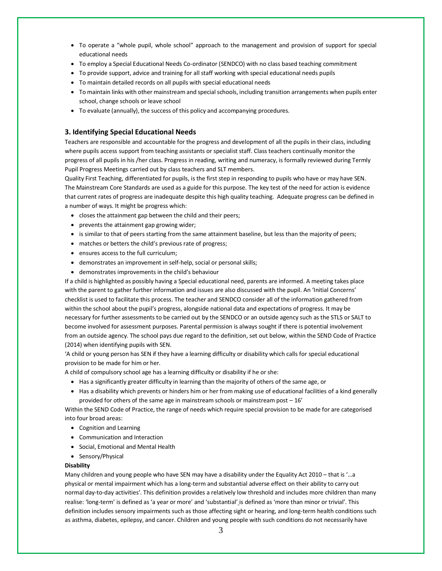- To operate a "whole pupil, whole school" approach to the management and provision of support for special educational needs
- To employ a Special Educational Needs Co-ordinator (SENDCO) with no class based teaching commitment
- To provide support, advice and training for all staff working with special educational needs pupils
- To maintain detailed records on all pupils with special educational needs
- To maintain links with other mainstream and special schools, including transition arrangements when pupils enter school, change schools or leave school
- To evaluate (annually), the success of this policy and accompanying procedures.

## **3. Identifying Special Educational Needs**

Teachers are responsible and accountable for the progress and development of all the pupils in their class, including where pupils access support from teaching assistants or specialist staff. Class teachers continually monitor the progress of all pupils in his /her class. Progress in reading, writing and numeracy, is formally reviewed during Termly Pupil Progress Meetings carried out by class teachers and SLT members.

Quality First Teaching, differentiated for pupils, is the first step in responding to pupils who have or may have SEN. The Mainstream Core Standards are used as a guide for this purpose. The key test of the need for action is evidence that current rates of progress are inadequate despite this high quality teaching. Adequate progress can be defined in a number of ways. It might be progress which:

- closes the attainment gap between the child and their peers;
- prevents the attainment gap growing wider;
- is similar to that of peers starting from the same attainment baseline, but less than the majority of peers;
- matches or betters the child's previous rate of progress;
- ensures access to the full curriculum;
- demonstrates an improvement in self-help, social or personal skills;
- demonstrates improvements in the child's behaviour

If a child is highlighted as possibly having a Special educational need, parents are informed. A meeting takes place with the parent to gather further information and issues are also discussed with the pupil. An 'Initial Concerns' checklist is used to facilitate this process. The teacher and SENDCO consider all of the information gathered from within the school about the pupil's progress, alongside national data and expectations of progress. It may be necessary for further assessments to be carried out by the SENDCO or an outside agency such as the STLS or SALT to become involved for assessment purposes. Parental permission is always sought if there is potential involvement from an outside agency. The school pays due regard to the definition, set out below, within the SEND Code of Practice (2014) when identifying pupils with SEN.

'A child or young person has SEN if they have a learning difficulty or disability which calls for special educational provision to be made for him or her.

A child of compulsory school age has a learning difficulty or disability if he or she:

- Has a significantly greater difficulty in learning than the majority of others of the same age, or
- Has a disability which prevents or hinders him or her from making use of educational facilities of a kind generally provided for others of the same age in mainstream schools or mainstream post – 16'

Within the SEND Code of Practice, the range of needs which require special provision to be made for are categorised into four broad areas:

- Cognition and Learning
- Communication and Interaction
- Social, Emotional and Mental Health
- Sensory/Physical

#### **Disability**

Many children and young people who have SEN may have a disability under the Equality Act 2010 – that is '…a physical or mental impairment which has a long-term and substantial adverse effect on their ability to carry out normal day-to-day activities'. This definition provides a relatively low threshold and includes more children than many realise: 'long-term' is defined as 'a year or more' and 'substantial' is defined as 'more than minor or trivial'. This definition includes sensory impairments such as those affecting sight or hearing, and long-term health conditions such as asthma, diabetes, epilepsy, and cancer. Children and young people with such conditions do not necessarily have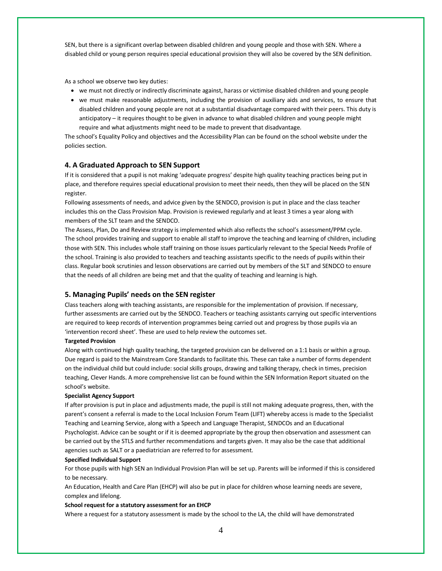SEN, but there is a significant overlap between disabled children and young people and those with SEN. Where a disabled child or young person requires special educational provision they will also be covered by the SEN definition.

As a school we observe two key duties:

- we must not directly or indirectly discriminate against, harass or victimise disabled children and young people
- we must make reasonable adjustments, including the provision of auxiliary aids and services, to ensure that disabled children and young people are not at a substantial disadvantage compared with their peers. This duty is anticipatory – it requires thought to be given in advance to what disabled children and young people might require and what adjustments might need to be made to prevent that disadvantage.

The school's Equality Policy and objectives and the Accessibility Plan can be found on the school website under the policies section.

## **4. A Graduated Approach to SEN Support**

If it is considered that a pupil is not making 'adequate progress' despite high quality teaching practices being put in place, and therefore requires special educational provision to meet their needs, then they will be placed on the SEN register.

Following assessments of needs, and advice given by the SENDCO, provision is put in place and the class teacher includes this on the Class Provision Map. Provision is reviewed regularly and at least 3 times a year along with members of the SLT team and the SENDCO.

The Assess, Plan, Do and Review strategy is implemented which also reflects the school's assessment/PPM cycle. The school provides training and support to enable all staff to improve the teaching and learning of children, including those with SEN. This includes whole staff training on those issues particularly relevant to the Special Needs Profile of the school. Training is also provided to teachers and teaching assistants specific to the needs of pupils within their class. Regular book scrutinies and lesson observations are carried out by members of the SLT and SENDCO to ensure that the needs of all children are being met and that the quality of teaching and learning is high.

#### **5. Managing Pupils' needs on the SEN register**

Class teachers along with teaching assistants, are responsible for the implementation of provision. If necessary, further assessments are carried out by the SENDCO. Teachers or teaching assistants carrying out specific interventions are required to keep records of intervention programmes being carried out and progress by those pupils via an 'intervention record sheet'. These are used to help review the outcomes set.

## **Targeted Provision**

Along with continued high quality teaching, the targeted provision can be delivered on a 1:1 basis or within a group. Due regard is paid to the Mainstream Core Standards to facilitate this. These can take a number of forms dependent on the individual child but could include: social skills groups, drawing and talking therapy, check in times, precision teaching, Clever Hands. A more comprehensive list can be found within the SEN Information Report situated on the school's website.

#### **Specialist Agency Support**

If after provision is put in place and adjustments made, the pupil is still not making adequate progress, then, with the parent's consent a referral is made to the Local Inclusion Forum Team (LIFT) whereby access is made to the Specialist Teaching and Learning Service, along with a Speech and Language Therapist, SENDCOs and an Educational Psychologist. Advice can be sought or if it is deemed appropriate by the group then observation and assessment can be carried out by the STLS and further recommendations and targets given. It may also be the case that additional agencies such as SALT or a paediatrician are referred to for assessment.

#### **Specified Individual Support**

For those pupils with high SEN an Individual Provision Plan will be set up. Parents will be informed if this is considered to be necessary.

An Education, Health and Care Plan (EHCP) will also be put in place for children whose learning needs are severe, complex and lifelong.

#### **School request for a statutory assessment for an EHCP**

Where a request for a statutory assessment is made by the school to the LA, the child will have demonstrated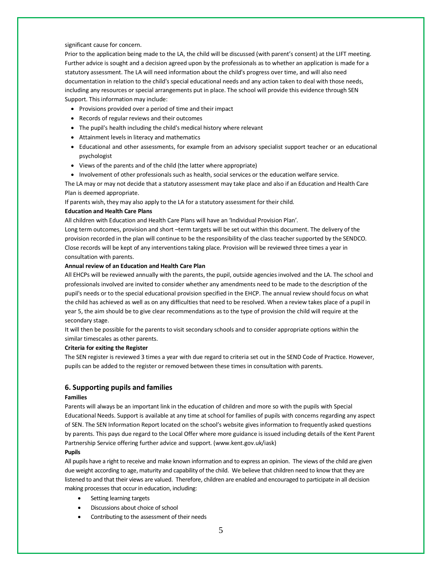significant cause for concern.

Prior to the application being made to the LA, the child will be discussed (with parent's consent) at the LIFT meeting. Further advice is sought and a decision agreed upon by the professionals as to whether an application is made for a statutory assessment. The LA will need information about the child's progress over time, and will also need documentation in relation to the child's special educational needs and any action taken to deal with those needs, including any resources or special arrangements put in place. The school will provide this evidence through SEN Support. This information may include:

- Provisions provided over a period of time and their impact
- Records of regular reviews and their outcomes
- The pupil's health including the child's medical history where relevant
- Attainment levels in literacy and mathematics
- Educational and other assessments, for example from an advisory specialist support teacher or an educational psychologist
- Views of the parents and of the child (the latter where appropriate)
- Involvement of other professionals such as health, social services or the education welfare service.

The LA may or may not decide that a statutory assessment may take place and also if an Education and Health Care Plan is deemed appropriate.

If parents wish, they may also apply to the LA for a statutory assessment for their child.

#### **Education and Health Care Plans**

All children with Education and Health Care Plans will have an 'Individual Provision Plan'.

Long term outcomes, provision and short –term targets will be set out within this document. The delivery of the provision recorded in the plan will continue to be the responsibility of the class teacher supported by the SENDCO. Close records will be kept of any interventions taking place. Provision will be reviewed three times a year in consultation with parents.

#### **Annual review of an Education and Health Care Plan**

All EHCPs will be reviewed annually with the parents, the pupil, outside agencies involved and the LA. The school and professionals involved are invited to consider whether any amendments need to be made to the description of the pupil's needs or to the special educational provision specified in the EHCP. The annual review should focus on what the child has achieved as well as on any difficulties that need to be resolved. When a review takes place of a pupil in year 5, the aim should be to give clear recommendations as to the type of provision the child will require at the secondary stage.

It will then be possible for the parents to visit secondary schools and to consider appropriate options within the similar timescales as other parents.

#### **Criteria for exiting the Register**

The SEN register is reviewed 3 times a year with due regard to criteria set out in the SEND Code of Practice. However, pupils can be added to the register or removed between these times in consultation with parents.

#### **6. Supporting pupils and families**

#### **Families**

Parents will always be an important link in the education of children and more so with the pupils with Special Educational Needs. Support is available at any time at school for families of pupils with concerns regarding any aspect of SEN. The SEN Information Report located on the school's website gives information to frequently asked questions by parents. This pays due regard to the Local Offer where more guidance is issued including details of the Kent Parent Partnership Service offering further advice and support. (www.kent.gov.uk/iask)

#### **Pupils**

All pupils have a right to receive and make known information and to express an opinion. The views of the child are given due weight according to age, maturity and capability of the child. We believe that children need to know that they are listened to and that their views are valued. Therefore, children are enabled and encouraged to participate in all decision making processes that occur in education, including:

- Setting learning targets
- Discussions about choice of school
- Contributing to the assessment of their needs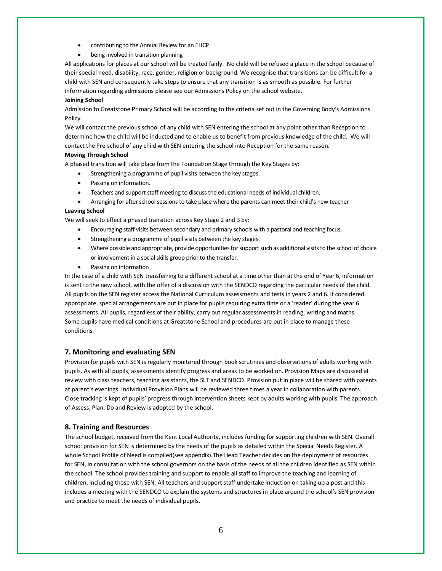- contributing to the Annual Review for an EHCP
- being involved in transition planning

All applications for places at our school will be treated fairly. No child will be refused a place in the school because of their special need, disability, race, gender, religion or background. We recognise that transitions can be difficult for a child with SEN and consequently take steps to ensure that any transition is as smooth as possible. For further information regarding admissions please see our Admissions Policy on the school website.

#### **Joining School**

Admission to Greatstone Primary School will be according to the criteria set out in the Governing Body's Admissions Policy.

We will contact the previous school of any child with SEN entering the school at any point other than Reception to determine how the child will be inducted and to enable us to benefit from previous knowledge of the child. We will contact the Pre-school of any child with SEN entering the school into Reception for the same reason.

#### **Moving Through School**

A phased transition will take place from the Foundation Stage through the Key Stages by:

- Strengthening a programme of pupil visits between the key stages.
- Passing on information.
- Teachers and support staff meeting to discuss the educational needs of individual children.
- Arranging for after school sessions to take place where the parents can meet their child's new teacher

#### **Leaving School**

We will seek to effect a phased transition across Key Stage 2 and 3 by:

- Encouraging staff visits between secondary and primary schools with a pastoral and teaching focus.
- Strengthening a programme of pupil visits between the key stages.
- Where possible and appropriate, provide opportunities for support such as additional visits to the school of choice or involvement in a social skills group prior to the transfer.
- Passing on information

In the case of a child with SEN transferring to a different school at a time other than at the end of Year 6, information is sent to the new school, with the offer of a discussion with the SENDCO regarding the particular needs of the child. All pupils on the SEN register access the National Curriculum assessments and tests in years 2 and 6. If considered appropriate, special arrangements are put in place for pupils requiring extra time or a 'reader' during the year 6 assessments. All pupils, regardless of their ability, carry out regular assessments in reading, writing and maths. Some pupils have medical conditions at Greatstone School and procedures are put in place to manage these conditions.

## **7. Monitoring and evaluating SEN**

Provision for pupils with SEN is regularly monitored through book scrutinies and observations of adults working with pupils. As with all pupils, assessments identify progress and areas to be worked on. Provision Maps are discussed at review with class teachers, teaching assistants, the SLT and SENDCO. Provision put in place will be shared with parents at parent's evenings. Individual Provision Plans will be reviewed three times a year in collaboration with parents. Close tracking is kept of pupils' progress through intervention sheets kept by adults working with pupils. The approach of Assess, Plan, Do and Review is adopted by the school.

## **8. Training and Resources**

The school budget, received from the Kent Local Authority, includes funding for supporting children with SEN. Overall school provision for SEN is determined by the needs of the pupils as detailed within the Special Needs Register. A whole School Profile of Need is compiled(see appendix).The Head Teacher decides on the deployment of resources for SEN, in consultation with the school governors on the basis of the needs of all the children identified as SEN within the school. The school provides training and support to enable all staff to improve the teaching and learning of children, including those with SEN. All teachers and support staff undertake induction on taking up a post and this includes a meeting with the SENDCO to explain the systems and structures in place around the school's SEN provision and practice to meet the needs of individual pupils.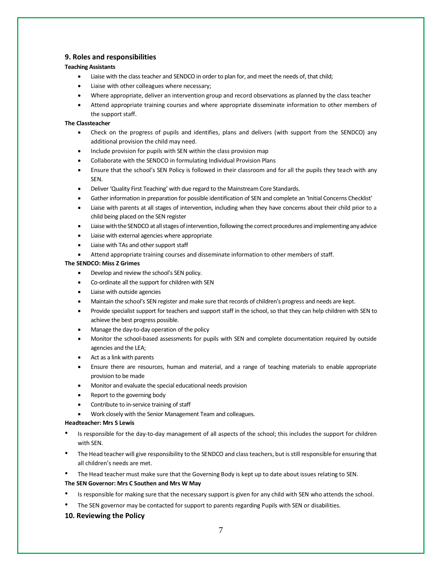## **9. Roles and responsibilities**

## **Teaching Assistants**

- Liaise with the class teacher and SENDCO in order to plan for, and meet the needs of, that child;
- Liaise with other colleagues where necessary;
- Where appropriate, deliver an intervention group and record observations as planned by the class teacher
- Attend appropriate training courses and where appropriate disseminate information to other members of the support staff.

#### **The Classteacher**

- Check on the progress of pupils and identifies, plans and delivers (with support from the SENDCO) any additional provision the child may need.
- Include provision for pupils with SEN within the class provision map
- Collaborate with the SENDCO in formulating Individual Provision Plans
- Ensure that the school's SEN Policy is followed in their classroom and for all the pupils they teach with any SEN.
- Deliver 'Quality First Teaching' with due regard to the Mainstream Core Standards.
- Gather information in preparation for possible identification of SEN and complete an 'Initial Concerns Checklist'
- Liaise with parents at all stages of intervention, including when they have concerns about their child prior to a child being placed on the SEN register
- Liaise with the SENDCO at all stages of intervention, following the correct procedures and implementing any advice
- Liaise with external agencies where appropriate
- Liaise with TAs and other support staff
- Attend appropriate training courses and disseminate information to other members of staff.

#### **The SENDCO: Miss Z Grimes**

- Develop and review the school's SEN policy.
- Co-ordinate all the support for children with SEN
- Liaise with outside agencies
- Maintain the school's SEN register and make sure that records of children's progress and needs are kept.
- Provide specialist support for teachers and support staff in the school, so that they can help children with SEN to achieve the best progress possible.
- Manage the day-to-day operation of the policy
- Monitor the school-based assessments for pupils with SEN and complete documentation required by outside agencies and the LEA;
- Act as a link with parents
- Ensure there are resources, human and material, and a range of teaching materials to enable appropriate provision to be made
- Monitor and evaluate the special educational needs provision
- Report to the governing body
- Contribute to in-service training of staff
- Work closely with the Senior Management Team and colleagues.

#### **Headteacher: Mrs S Lewis**

- Is responsible for the day-to-day management of all aspects of the school; this includes the support for children with SEN.
- The Head teacher will give responsibility to the SENDCO and class teachers, but is still responsible for ensuring that all children's needs are met.
- The Head teacher must make sure that the Governing Body is kept up to date about issues relating to SEN.

#### **The SEN Governor: Mrs C Southen and Mrs W May**

- Is responsible for making sure that the necessary support is given for any child with SEN who attends the school.
- The SEN governor may be contacted for support to parents regarding Pupils with SEN or disabilities.

## **10. Reviewing the Policy**